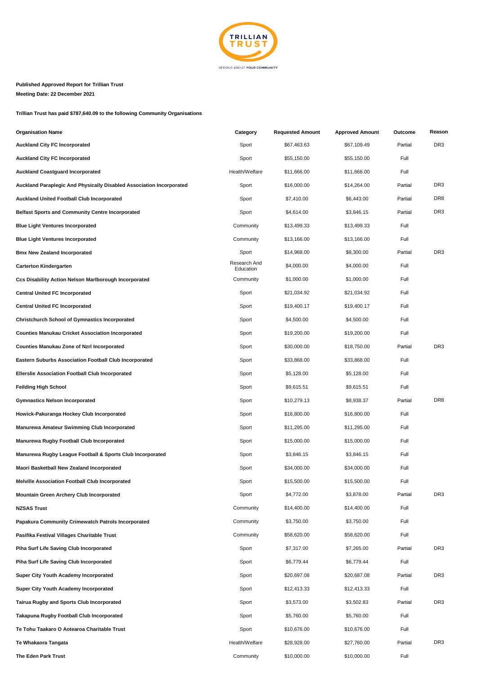

## **Published Approved Report for Trillian Trust Meeting Date: 22 December 2021**

**Trillian Trust has paid \$787,640.09 to the following Community Organisations**

| <b>Organisation Name</b>                                             | Category                  | <b>Requested Amount</b> | <b>Approved Amount</b> | Outcome | Reason          |
|----------------------------------------------------------------------|---------------------------|-------------------------|------------------------|---------|-----------------|
| <b>Auckland City FC Incorporated</b>                                 | Sport                     | \$67,463.63             | \$67,109.49            | Partial | DR <sub>3</sub> |
| Auckland City FC Incorporated                                        | Sport                     | \$55,150.00             | \$55,150.00            | Full    |                 |
| <b>Auckland Coastguard Incorporated</b>                              | Health/Welfare            | \$11,666.00             | \$11,666.00            | Full    |                 |
| Auckland Paraplegic And Physically Disabled Association Incorporated | Sport                     | \$16,000.00             | \$14,264.00            | Partial | DR <sub>3</sub> |
| Auckland United Football Club Incorporated                           | Sport                     | \$7,410.00              | \$6,443.00             | Partial | DR <sub>8</sub> |
| <b>Belfast Sports and Community Centre Incorporated</b>              | Sport                     | \$4,614.00              | \$3,846.15             | Partial | DR <sub>3</sub> |
| <b>Blue Light Ventures Incorporated</b>                              | Community                 | \$13,499.33             | \$13,499.33            | Full    |                 |
| <b>Blue Light Ventures Incorporated</b>                              | Community                 | \$13,166.00             | \$13,166.00            | Full    |                 |
| <b>Bmx New Zealand Incorporated</b>                                  | Sport                     | \$14,968.00             | \$8,300.00             | Partial | DR <sub>3</sub> |
| <b>Carterton Kindergarten</b>                                        | Research And<br>Education | \$4,000.00              | \$4,000.00             | Full    |                 |
| Ccs Disability Action Nelson Marlborough Incorporated                | Community                 | \$1,000.00              | \$1,000.00             | Full    |                 |
| <b>Central United FC Incorporated</b>                                | Sport                     | \$21,034.92             | \$21,034.92            | Full    |                 |
| <b>Central United FC Incorporated</b>                                | Sport                     | \$19,400.17             | \$19,400.17            | Full    |                 |
| Christchurch School of Gymnastics Incorporated                       | Sport                     | \$4,500.00              | \$4,500.00             | Full    |                 |
| <b>Counties Manukau Cricket Association Incorporated</b>             | Sport                     | \$19,200.00             | \$19,200.00            | Full    |                 |
| Counties Manukau Zone of Nzrl Incorporated                           | Sport                     | \$30,000.00             | \$18,750.00            | Partial | DR <sub>3</sub> |
| <b>Eastern Suburbs Association Football Club Incorporated</b>        | Sport                     | \$33,868.00             | \$33,868.00            | Full    |                 |
| <b>Ellerslie Association Football Club Incorporated</b>              | Sport                     | \$5,128.00              | \$5,128.00             | Full    |                 |
| Feilding High School                                                 | Sport                     | \$9,615.51              | \$9,615.51             | Full    |                 |
| Gymnastics Nelson Incorporated                                       | Sport                     | \$10,279.13             | \$8,938.37             | Partial | DR <sub>8</sub> |
| Howick-Pakuranga Hockey Club Incorporated                            | Sport                     | \$16,800.00             | \$16,800.00            | Full    |                 |
| Manurewa Amateur Swimming Club Incorporated                          | Sport                     | \$11,295.00             | \$11,295.00            | Full    |                 |
| Manurewa Rugby Football Club Incorporated                            | Sport                     | \$15,000.00             | \$15,000.00            | Full    |                 |
| Manurewa Rugby League Football & Sports Club Incorporated            | Sport                     | \$3,846.15              | \$3,846.15             | Full    |                 |
| Maori Basketball New Zealand Incorporated                            | Sport                     | \$34,000.00             | \$34,000.00            | Full    |                 |
| <b>Melville Association Football Club Incorporated</b>               | Sport                     | \$15,500.00             | \$15,500.00            | Full    |                 |
| Mountain Green Archery Club Incorporated                             | Sport                     | \$4,772.00              | \$3,878.00             | Partial | DR <sub>3</sub> |
| <b>NZSAS Trust</b>                                                   | Community                 | \$14,400.00             | \$14,400.00            | Full    |                 |
| Papakura Community Crimewatch Patrols Incorporated                   | Community                 | \$3,750.00              | \$3,750.00             | Full    |                 |
| Pasifika Festival Villages Charitable Trust                          | Community                 | \$58,620.00             | \$58,620.00            | Full    |                 |
| Piha Surf Life Saving Club Incorporated                              | Sport                     | \$7,317.00              | \$7,265.00             | Partial | DR <sub>3</sub> |
| Piha Surf Life Saving Club Incorporated                              | Sport                     | \$6,779.44              | \$6,779.44             | Full    |                 |
| Super City Youth Academy Incorporated                                | Sport                     | \$20,697.08             | \$20,687.08            | Partial | DR <sub>3</sub> |
| Super City Youth Academy Incorporated                                | Sport                     | \$12,413.33             | \$12,413.33            | Full    |                 |
| Tairua Rugby and Sports Club Incorporated                            | Sport                     | \$3,573.00              | \$3,502.83             | Partial | DR <sub>3</sub> |
| Takapuna Rugby Football Club Incorporated                            | Sport                     | \$5,760.00              | \$5,760.00             | Full    |                 |
| Te Tohu Taakaro O Aotearoa Charitable Trust                          | Sport                     | \$10,676.00             | \$10,676.00            | Full    |                 |
| Te Whakaora Tangata                                                  | Health/Welfare            | \$28,928.00             | \$27,760.00            | Partial | DR <sub>3</sub> |
| The Eden Park Trust                                                  | Community                 | \$10,000.00             | \$10,000.00            | Full    |                 |